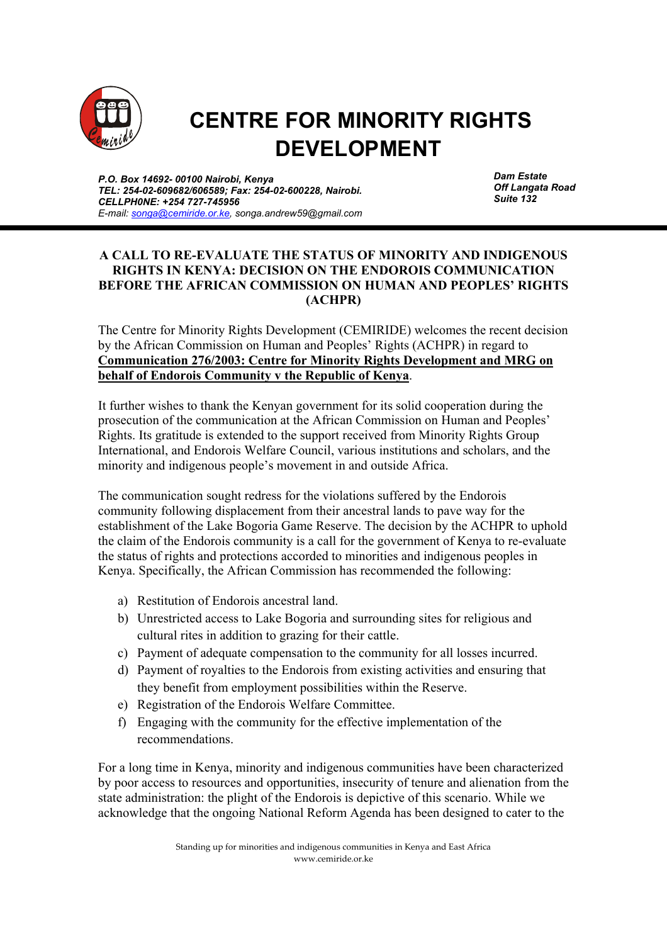

## **CENTRE FOR MINORITY RIGHTS DEVELOPMENT**

*P.O. Box 14692- 00100 Nairobi, Kenya TEL: 254-02-609682/606589; Fax: 254-02-600228, Nairobi. CELLPH0NE: +254 727-745956 E-mail: songa@cemiride.or.ke, songa.andrew59@gmail.com*  *Dam Estate Off Langata Road Suite 132*

## **A CALL TO RE-EVALUATE THE STATUS OF MINORITY AND INDIGENOUS RIGHTS IN KENYA: DECISION ON THE ENDOROIS COMMUNICATION BEFORE THE AFRICAN COMMISSION ON HUMAN AND PEOPLES' RIGHTS (ACHPR)**

The Centre for Minority Rights Development (CEMIRIDE) welcomes the recent decision by the African Commission on Human and Peoples' Rights (ACHPR) in regard to **Communication 276/2003: Centre for Minority Rights Development and MRG on behalf of Endorois Community v the Republic of Kenya**.

It further wishes to thank the Kenyan government for its solid cooperation during the prosecution of the communication at the African Commission on Human and Peoples' Rights. Its gratitude is extended to the support received from Minority Rights Group International, and Endorois Welfare Council, various institutions and scholars, and the minority and indigenous people's movement in and outside Africa.

The communication sought redress for the violations suffered by the Endorois community following displacement from their ancestral lands to pave way for the establishment of the Lake Bogoria Game Reserve. The decision by the ACHPR to uphold the claim of the Endorois community is a call for the government of Kenya to re-evaluate the status of rights and protections accorded to minorities and indigenous peoples in Kenya. Specifically, the African Commission has recommended the following:

- a) Restitution of Endorois ancestral land.
- b) Unrestricted access to Lake Bogoria and surrounding sites for religious and cultural rites in addition to grazing for their cattle.
- c) Payment of adequate compensation to the community for all losses incurred.
- d) Payment of royalties to the Endorois from existing activities and ensuring that they benefit from employment possibilities within the Reserve.
- e) Registration of the Endorois Welfare Committee.
- f) Engaging with the community for the effective implementation of the recommendations.

For a long time in Kenya, minority and indigenous communities have been characterized by poor access to resources and opportunities, insecurity of tenure and alienation from the state administration: the plight of the Endorois is depictive of this scenario. While we acknowledge that the ongoing National Reform Agenda has been designed to cater to the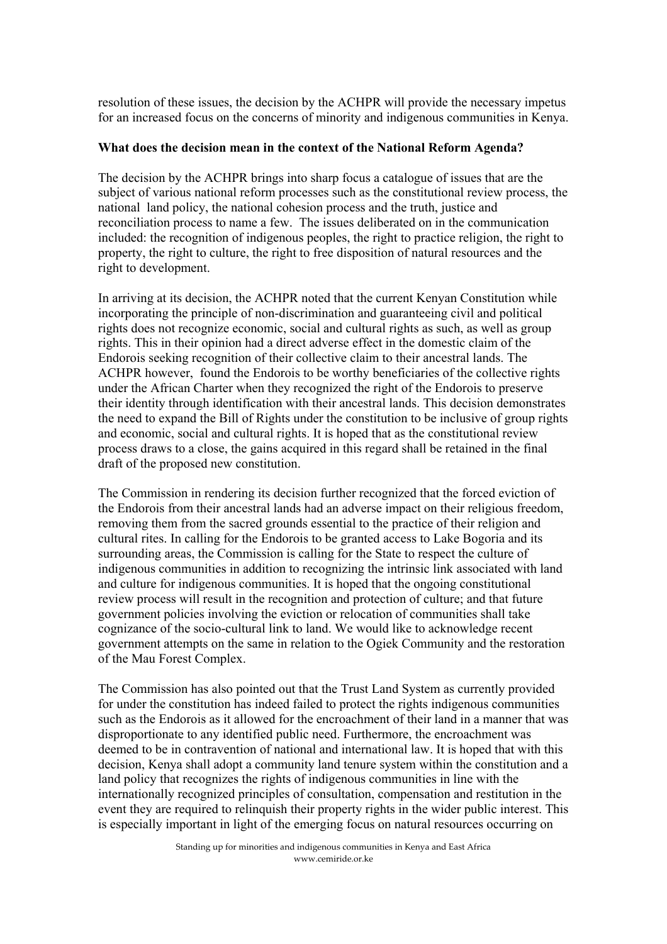resolution of these issues, the decision by the ACHPR will provide the necessary impetus for an increased focus on the concerns of minority and indigenous communities in Kenya.

## **What does the decision mean in the context of the National Reform Agenda?**

The decision by the ACHPR brings into sharp focus a catalogue of issues that are the subject of various national reform processes such as the constitutional review process, the national land policy, the national cohesion process and the truth, justice and reconciliation process to name a few. The issues deliberated on in the communication included: the recognition of indigenous peoples, the right to practice religion, the right to property, the right to culture, the right to free disposition of natural resources and the right to development.

In arriving at its decision, the ACHPR noted that the current Kenyan Constitution while incorporating the principle of non-discrimination and guaranteeing civil and political rights does not recognize economic, social and cultural rights as such, as well as group rights. This in their opinion had a direct adverse effect in the domestic claim of the Endorois seeking recognition of their collective claim to their ancestral lands. The ACHPR however, found the Endorois to be worthy beneficiaries of the collective rights under the African Charter when they recognized the right of the Endorois to preserve their identity through identification with their ancestral lands. This decision demonstrates the need to expand the Bill of Rights under the constitution to be inclusive of group rights and economic, social and cultural rights. It is hoped that as the constitutional review process draws to a close, the gains acquired in this regard shall be retained in the final draft of the proposed new constitution.

The Commission in rendering its decision further recognized that the forced eviction of the Endorois from their ancestral lands had an adverse impact on their religious freedom, removing them from the sacred grounds essential to the practice of their religion and cultural rites. In calling for the Endorois to be granted access to Lake Bogoria and its surrounding areas, the Commission is calling for the State to respect the culture of indigenous communities in addition to recognizing the intrinsic link associated with land and culture for indigenous communities. It is hoped that the ongoing constitutional review process will result in the recognition and protection of culture; and that future government policies involving the eviction or relocation of communities shall take cognizance of the socio-cultural link to land. We would like to acknowledge recent government attempts on the same in relation to the Ogiek Community and the restoration of the Mau Forest Complex.

The Commission has also pointed out that the Trust Land System as currently provided for under the constitution has indeed failed to protect the rights indigenous communities such as the Endorois as it allowed for the encroachment of their land in a manner that was disproportionate to any identified public need. Furthermore, the encroachment was deemed to be in contravention of national and international law. It is hoped that with this decision, Kenya shall adopt a community land tenure system within the constitution and a land policy that recognizes the rights of indigenous communities in line with the internationally recognized principles of consultation, compensation and restitution in the event they are required to relinquish their property rights in the wider public interest. This is especially important in light of the emerging focus on natural resources occurring on